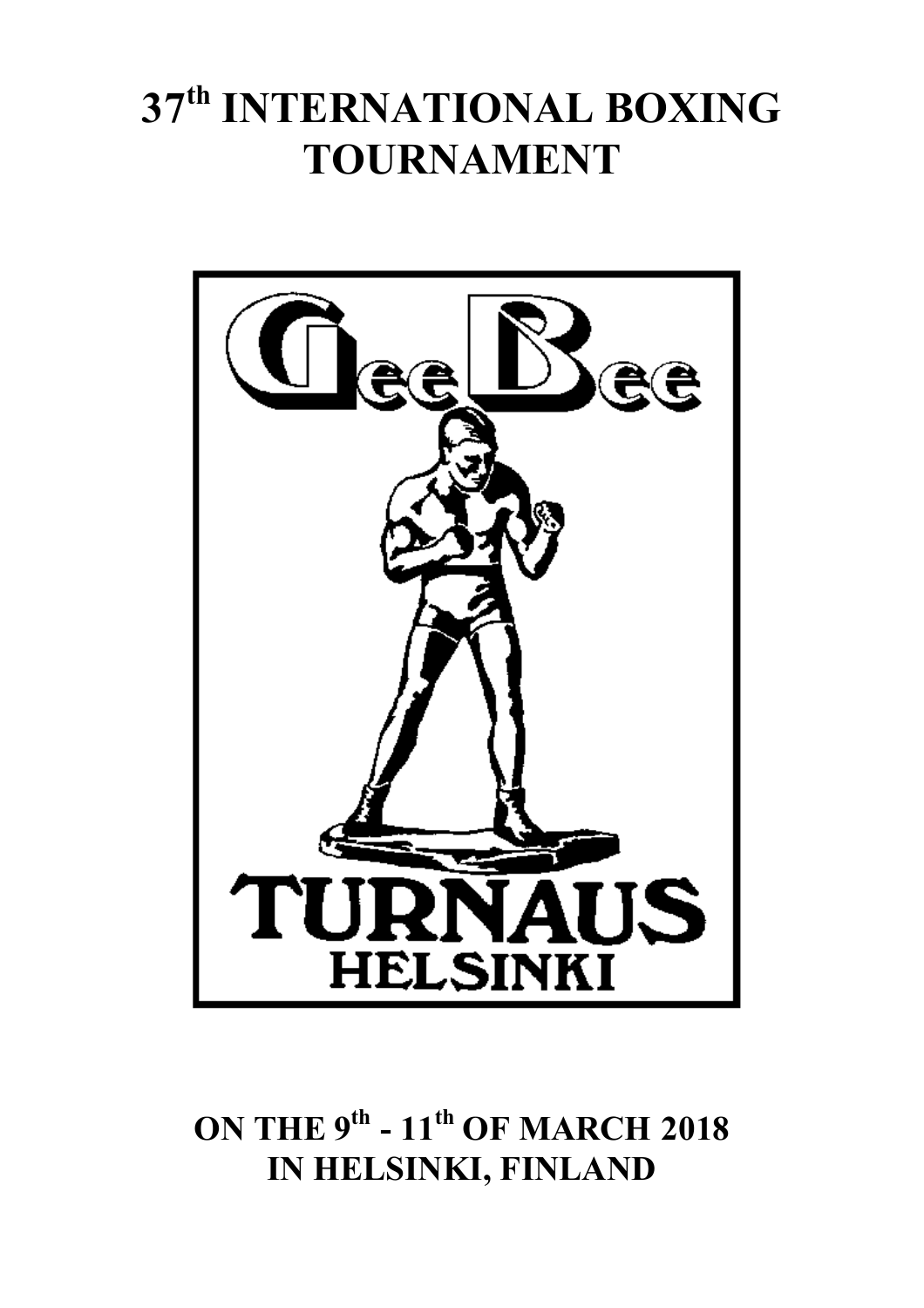# **37 th INTERNATIONAL BOXING TOURNAMENT**



**ON THE 9 th - 11 th OF MARCH 2018 IN HELSINKI, FINLAND**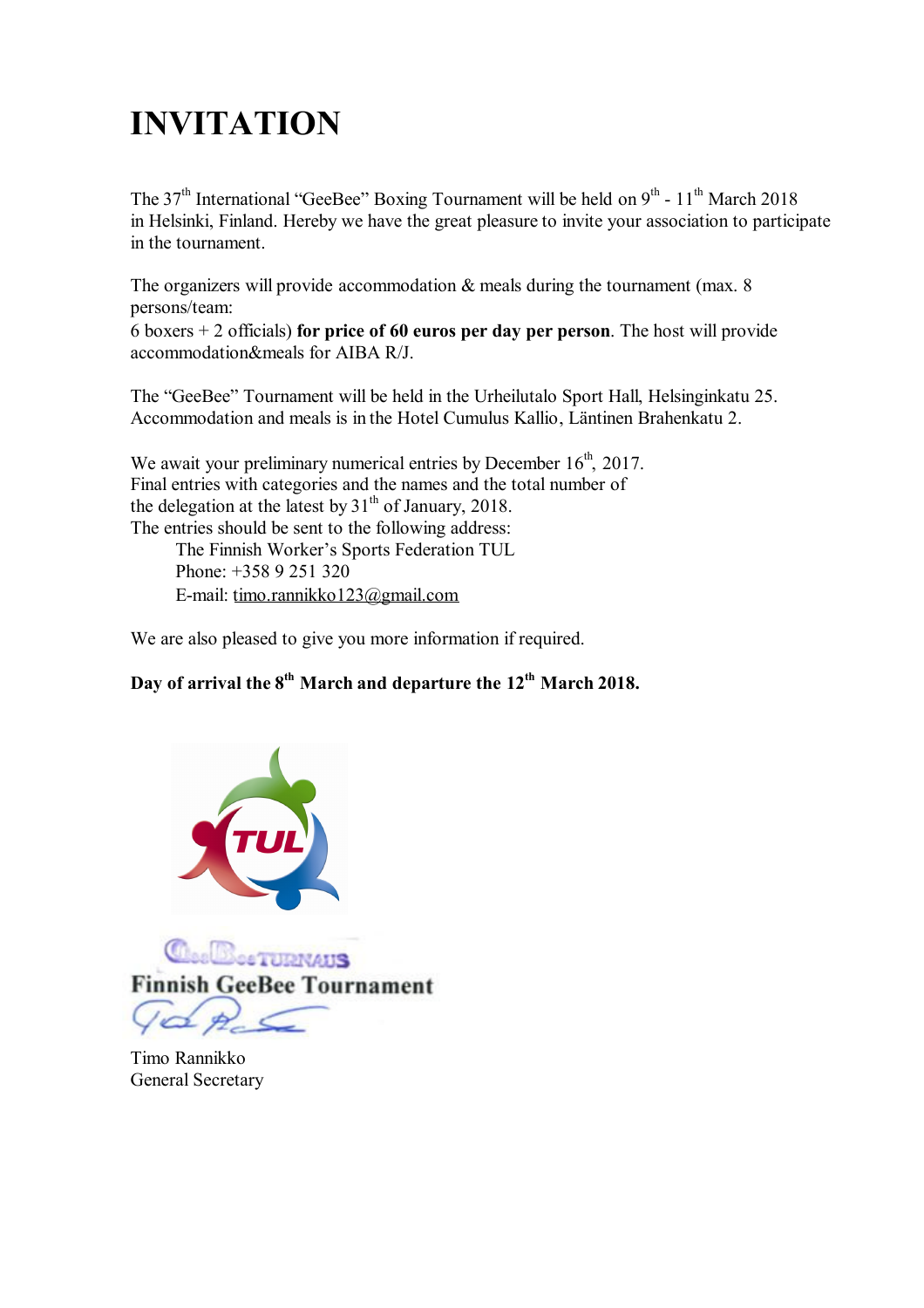## **INVITATION**

The 37<sup>th</sup> International "GeeBee" Boxing Tournament will be held on  $9<sup>th</sup>$  - 11<sup>th</sup> March 2018 in Helsinki, Finland. Hereby we have the great pleasure to invite your association to participate in the tournament.

The organizers will provide accommodation  $\&$  meals during the tournament (max. 8) persons/team:

6 boxers + 2 officials) **for price of 60 euros per day per person**. The host will provide accommodation&meals for AIBA R/J.

The "GeeBee" Tournament will be held in the Urheilutalo Sport Hall, Helsinginkatu 25. Accommodation and meals is in the Hotel Cumulus Kallio, Läntinen Brahenkatu 2.

We await your preliminary numerical entries by December  $16<sup>th</sup>$ , 2017. Final entries with categories and the names and the total number of the delegation at the latest by  $31<sup>th</sup>$  of January, 2018. The entries should be sent to the following address: The Finnish Worker's Sports Federation TUL Phone: +358 9 251 320

E-mail: timo.rannikko123@gmail.com

We are also pleased to give you more information if required.

### **Day of arrival the 8 th March and departure the 12th March 2018.**



Timo Rannikko General Secretary